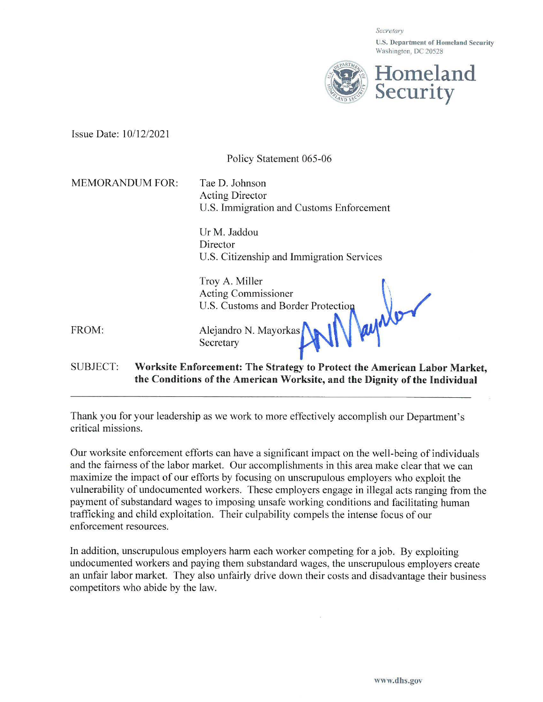Secretary

**U.S. Department of Homeland Security**  Washington, DC 20528



Issue Date: 10/12/202 l

|                        | Policy Statement 065-06                                                                                                                                |
|------------------------|--------------------------------------------------------------------------------------------------------------------------------------------------------|
| <b>MEMORANDUM FOR:</b> | Tae D. Johnson<br><b>Acting Director</b><br>U.S. Immigration and Customs Enforcement                                                                   |
|                        | Ur M. Jaddou<br>Director<br>U.S. Citizenship and Immigration Services                                                                                  |
|                        | Troy A. Miller<br><b>Acting Commissioner</b><br>U.S. Customs and Border Protection                                                                     |
| FROM:                  | 11 keeps<br>Alejandro N. Mayorkas<br>Secretary                                                                                                         |
| <b>SUBJECT:</b>        | Worksite Enforcement: The Strategy to Protect the American Labor Market,<br>the Conditions of the American Worksite, and the Dignity of the Individual |

Thank you for your leadership as we work to more effectively accomplish our Department's critical missions.

Our worksite enforcement efforts can have a significant impact on the well-being of individuals and the fairness of the labor market. Our accomplishments in this area make clear that we can maximize the impact of our efforts by focusing on unscrupulous employers who exploit the vulnerability of undocumented workers. These employers engage in illegal acts ranging from the payment of substandard wages to imposing unsafe working conditions and facilitating human trafficking and child exploitation. Their culpability compels the intense focus of our enforcement resources.

In addition, unscrupulous employers harm each worker competing for a job. By exploiting undocumented workers and paying them substandard wages, the unscrupulous employers create an unfair labor market. They also unfairly drive down their costs and disadvantage their business competitors who abide by the law.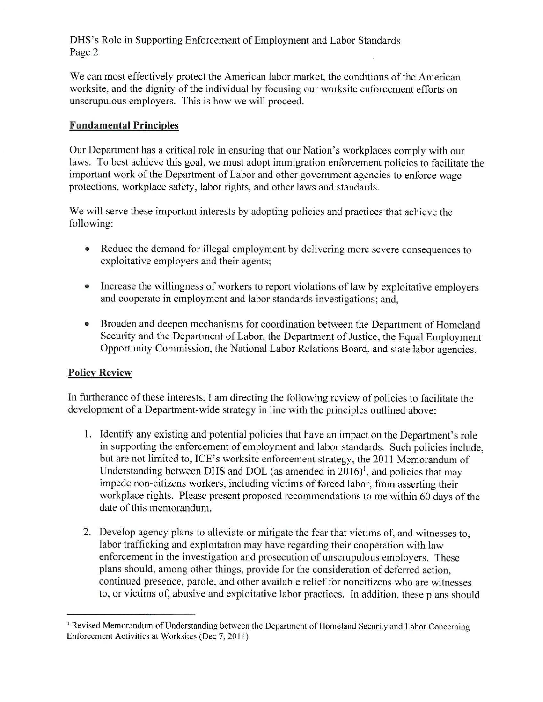## DHS's Role in Supporting Enforcement of Employment and Labor Standards Page 2

We can most effectively protect the American labor market, the conditions of the American worksite, and the dignity of the individual by focusing our worksite enforcement efforts on unscrupulous employers. This is how we will proceed.

## **Fundamental Principles**

Our Department has a critical role in ensuring that our Nation's workplaces comply with our laws. To best achieve this goal, we must adopt immigration enforcement policies to facilitate the important work of the Department of Labor and other government agencies to enforce wage protections, workplace safety, labor rights, and other laws and standards.

We will serve these important interests by adopting policies and practices that achieve the following:

- Reduce the demand for illegal employment by delivering more severe consequences to exploitative employers and their agents;
- Increase the willingness of workers to report violations of law by exploitative employers and cooperate in employment and labor standards investigations; and,
- Broaden and deepen mechanisms for coordination between the Department of Homeland Security and the Department of Labor, the Department of Justice, the Equal Employment Opportunity Commission, the National Labor Relations Board, and state labor agencies.

## **Policy Review**

In furtherance of these interests, I am directing the following review of policies to facilitate the development of a Department-wide strategy in line with the principles outlined above:

- 1. Identify any existing and potential policies that have an impact on the Department's role in supporting the enforcement of employment and labor standards. Such policies include, but are not limited to, ICE's worksite enforcement strategy, the 2011 Memorandum of Understanding between DHS and DOL (as amended in  $2016$ <sup>1</sup>, and policies that may impede non-citizens workers, including victims of forced labor, from asserting their workplace rights. Please present proposed recommendations to me within 60 days of the date of this memorandum.
- 2. Develop agency plans to alleviate or mitigate the fear that victims of, and witnesses to, labor trafficking and exploitation may have regarding their cooperation with law enforcement in the investigation and prosecution of unscrupulous employers. These plans should, among other things, provide for the consideration of deferred action. continued presence, parole, and other available relief for noncitizens who are witnesses to, or victims of, abusive and exploitative labor practices. In addition, these plans should

<sup>&</sup>lt;sup>1</sup> Revised Memorandum of Understanding between the Department of Homeland Security and Labor Concerning Enforcement Activities at Worksites (Dec 7, 2011)